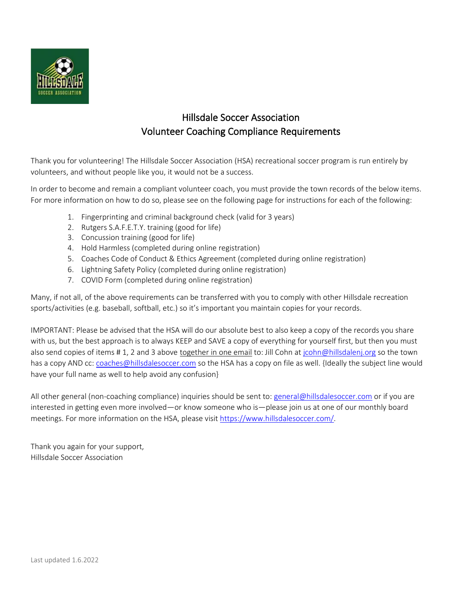

## Hillsdale Soccer Association Volunteer Coaching Compliance Requirements

Thank you for volunteering! The Hillsdale Soccer Association (HSA) recreational soccer program is run entirely by volunteers, and without people like you, it would not be a success.

In order to become and remain a compliant volunteer coach, you must provide the town records of the below items. For more information on how to do so, please see on the following page for instructions for each of the following:

- 1. Fingerprinting and criminal background check (valid for 3 years)
- 2. Rutgers S.A.F.E.T.Y. training (good for life)
- 3. Concussion training (good for life)
- 4. Hold Harmless (completed during online registration)
- 5. Coaches Code of Conduct & Ethics Agreement (completed during online registration)
- 6. Lightning Safety Policy (completed during online registration)
- 7. COVID Form (completed during online registration)

Many, if not all, of the above requirements can be transferred with you to comply with other Hillsdale recreation sports/activities (e.g. baseball, softball, etc.) so it's important you maintain copies for your records.

IMPORTANT: Please be advised that the HSA will do our absolute best to also keep a copy of the records you share with us, but the best approach is to always KEEP and SAVE a copy of everything for yourself first, but then you must also send copies of items # 1, 2 and 3 above together in one email to: Jill Cohn at [jcohn@hillsdalenj.org](mailto:jcohn@hillsdalenj.org?subject=Coaching%20Compliance%20(Soccer)) so the town has a copy AND cc: [coaches@hillsdalesoccer.com](mailto:coaches@hillsdalesoccer.com?subject=Coaching%20Compliance%20(Soccer)) so the HSA has a copy on file as well. {Ideally the subject line would have your full name as well to help avoid any confusion}

All other general (non-coaching compliance) inquiries should be sent to: [general@hillsdalesoccer.com](mailto:general@hillsdalesoccer.com) or if you are interested in getting even more involved—or know someone who is—please join us at one of our monthly board meetings. For more information on the HSA, please visit [https://www.hillsdalesoccer.com/.](https://www.hillsdalesoccer.com/)

Thank you again for your support, Hillsdale Soccer Association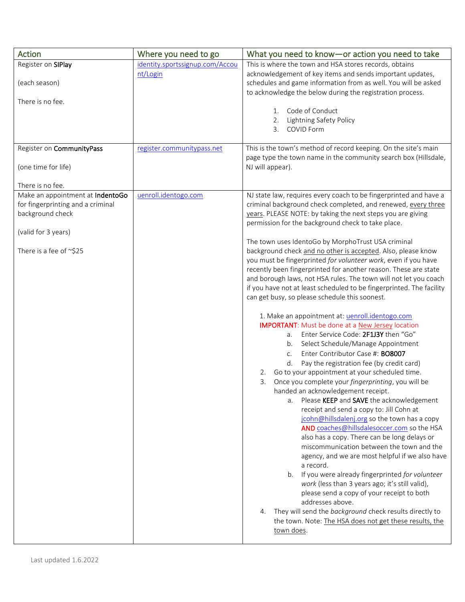| Action                            | Where you need to go            | What you need to know-or action you need to take                                                                                    |
|-----------------------------------|---------------------------------|-------------------------------------------------------------------------------------------------------------------------------------|
| Register on SIPlay                | identity.sportssignup.com/Accou | This is where the town and HSA stores records, obtains                                                                              |
| (each season)                     | nt/Login                        | acknowledgement of key items and sends important updates,<br>schedules and game information from as well. You will be asked         |
| There is no fee.                  |                                 | to acknowledge the below during the registration process.                                                                           |
|                                   |                                 | Code of Conduct<br>1.                                                                                                               |
|                                   |                                 | Lightning Safety Policy<br>2.                                                                                                       |
|                                   |                                 | COVID Form<br>3.                                                                                                                    |
| Register on CommunityPass         | register.communitypass.net      | This is the town's method of record keeping. On the site's main                                                                     |
|                                   |                                 | page type the town name in the community search box (Hillsdale,                                                                     |
| (one time for life)               |                                 | NJ will appear).                                                                                                                    |
| There is no fee.                  |                                 |                                                                                                                                     |
| Make an appointment at IndentoGo  | uenroll.identogo.com            | NJ state law, requires every coach to be fingerprinted and have a                                                                   |
| for fingerprinting and a criminal |                                 | criminal background check completed, and renewed, every three                                                                       |
| background check                  |                                 | years. PLEASE NOTE: by taking the next steps you are giving                                                                         |
| (valid for 3 years)               |                                 | permission for the background check to take place.                                                                                  |
|                                   |                                 | The town uses IdentoGo by MorphoTrust USA criminal                                                                                  |
| There is a fee of ~\$25           |                                 | background check and no other is accepted. Also, please know                                                                        |
|                                   |                                 | you must be fingerprinted for volunteer work, even if you have                                                                      |
|                                   |                                 | recently been fingerprinted for another reason. These are state<br>and borough laws, not HSA rules. The town will not let you coach |
|                                   |                                 | if you have not at least scheduled to be fingerprinted. The facility                                                                |
|                                   |                                 | can get busy, so please schedule this soonest.                                                                                      |
|                                   |                                 |                                                                                                                                     |
|                                   |                                 | 1. Make an appointment at: uenroll.identogo.com<br><b>IMPORTANT:</b> Must be done at a <b>New Jersey</b> location                   |
|                                   |                                 | Enter Service Code: 2F1J3Y then "Go"<br>а.                                                                                          |
|                                   |                                 | Select Schedule/Manage Appointment<br>b.                                                                                            |
|                                   |                                 | Enter Contributor Case #: BO8007<br>C.                                                                                              |
|                                   |                                 | Pay the registration fee (by credit card)<br>d.                                                                                     |
|                                   |                                 | Go to your appointment at your scheduled time.<br>2.                                                                                |
|                                   |                                 | Once you complete your <i>fingerprinting</i> , you will be<br>3.<br>handed an acknowledgement receipt.                              |
|                                   |                                 | Please KEEP and SAVE the acknowledgement<br>a.                                                                                      |
|                                   |                                 | receipt and send a copy to: Jill Cohn at                                                                                            |
|                                   |                                 | jcohn@hillsdalenj.org so the town has a copy                                                                                        |
|                                   |                                 | AND coaches@hillsdalesoccer.com so the HSA<br>also has a copy. There can be long delays or                                          |
|                                   |                                 | miscommunication between the town and the                                                                                           |
|                                   |                                 | agency, and we are most helpful if we also have                                                                                     |
|                                   |                                 | a record.                                                                                                                           |
|                                   |                                 | b. If you were already fingerprinted for volunteer                                                                                  |
|                                   |                                 | work (less than 3 years ago; it's still valid),<br>please send a copy of your receipt to both                                       |
|                                   |                                 | addresses above.                                                                                                                    |
|                                   |                                 | They will send the background check results directly to<br>4.                                                                       |
|                                   |                                 | the town. Note: The HSA does not get these results, the                                                                             |
|                                   |                                 | town does.                                                                                                                          |